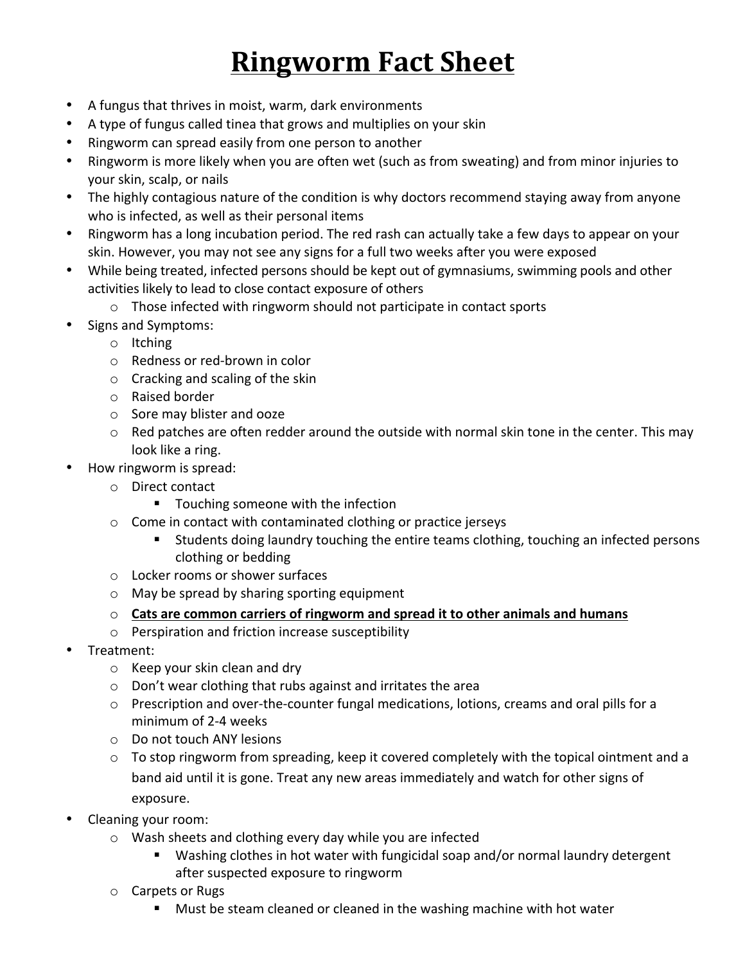## **Ringworm Fact Sheet**

- A fungus that thrives in moist, warm, dark environments
- A type of fungus called tinea that grows and multiplies on your skin
- Ringworm can spread easily from one person to another
- Ringworm is more likely when you are often wet (such as from sweating) and from minor injuries to your skin, scalp, or nails
- The highly contagious nature of the condition is why doctors recommend staying away from anyone who is infected, as well as their personal items
- Ringworm has a long incubation period. The red rash can actually take a few days to appear on your skin. However, you may not see any signs for a full two weeks after you were exposed
- While being treated, infected persons should be kept out of gymnasiums, swimming pools and other activities likely to lead to close contact exposure of others
	- $\circ$  Those infected with ringworm should not participate in contact sports
- Signs and Symptoms:
	- o Itching
	- $\circ$  Redness or red-brown in color
	- $\circ$  Cracking and scaling of the skin
	- o Raised border
	- $\circ$  Sore may blister and ooze
	- $\circ$  Red patches are often redder around the outside with normal skin tone in the center. This may look like a ring.
- How ringworm is spread:
	- o Direct contact
		- Touching someone with the infection
	- $\circ$  Come in contact with contaminated clothing or practice jerseys
		- Students doing laundry touching the entire teams clothing, touching an infected persons clothing or bedding
	- $\circ$  Locker rooms or shower surfaces
	- $\circ$  May be spread by sharing sporting equipment
	- $\circ$  Cats are common carriers of ringworm and spread it to other animals and humans
	- $\circ$  Perspiration and friction increase susceptibility
- Treatment:
	- $\circ$  Keep your skin clean and dry
	- $\circ$  Don't wear clothing that rubs against and irritates the area
	- $\circ$  Prescription and over-the-counter fungal medications, lotions, creams and oral pills for a minimum of 2-4 weeks
	- $\circ$  Do not touch ANY lesions
	- $\circ$  To stop ringworm from spreading, keep it covered completely with the topical ointment and a band aid until it is gone. Treat any new areas immediately and watch for other signs of exposure.
- Cleaning your room:
	- $\circ$  Wash sheets and clothing every day while you are infected
		- Washing clothes in hot water with fungicidal soap and/or normal laundry detergent after suspected exposure to ringworm
	- $\circ$  Carpets or Rugs
		- Must be steam cleaned or cleaned in the washing machine with hot water